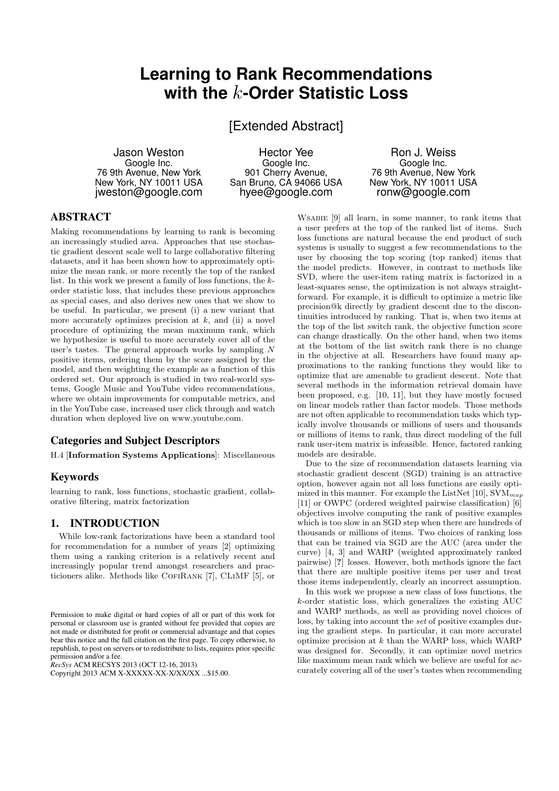# **Learning to Rank Recommendations with the** k**-Order Statistic Loss**

[Extended Abstract]

Jason Weston Google Inc. 76 9th Avenue, New York New York, NY 10011 USA jweston@google.com

Hector Yee Google Inc. 901 Cherry Avenue, San Bruno, CA 94066 USA hyee@google.com

Ron J. Weiss Google Inc. 76 9th Avenue, New York New York, NY 10011 USA ronw@google.com

# ABSTRACT

Making recommendations by learning to rank is becoming an increasingly studied area. Approaches that use stochastic gradient descent scale well to large collaborative filtering datasets, and it has been shown how to approximately optimize the mean rank, or more recently the top of the ranked list. In this work we present a family of loss functions, the korder statistic loss, that includes these previous approaches as special cases, and also derives new ones that we show to be useful. In particular, we present (i) a new variant that more accurately optimizes precision at  $k$ , and (ii) a novel procedure of optimizing the mean maximum rank, which we hypothesize is useful to more accurately cover all of the user's tastes. The general approach works by sampling N positive items, ordering them by the score assigned by the model, and then weighting the example as a function of this ordered set. Our approach is studied in two real-world systems, Google Music and YouTube video recommendations, where we obtain improvements for computable metrics, and in the YouTube case, increased user click through and watch duration when deployed live on www.youtube.com.

# Categories and Subject Descriptors

H.4 [Information Systems Applications]: Miscellaneous

# Keywords

learning to rank, loss functions, stochastic gradient, collaborative filtering, matrix factorization

# 1. INTRODUCTION

While low-rank factorizations have been a standard tool for recommendation for a number of years [2] optimizing them using a ranking criterion is a relatively recent and increasingly popular trend amongst researchers and practicioners alike. Methods like COFIRANK [7], CLIMF [5], or

*RecSys* ACM RECSYS 2013 (OCT 12-16, 2013)

Copyright 2013 ACM X-XXXXX-XX-X/XX/XX ...\$15.00.

Wsabie [9] all learn, in some manner, to rank items that a user prefers at the top of the ranked list of items. Such loss functions are natural because the end product of such systems is usually to suggest a few recommendations to the user by choosing the top scoring (top ranked) items that the model predicts. However, in contrast to methods like SVD, where the user-item rating matrix is factorized in a least-squares sense, the optimization is not always straightforward. For example, it is difficult to optimize a metric like precision@k directly by gradient descent due to the discontinuities introduced by ranking. That is, when two items at the top of the list switch rank, the objective function score can change drastically. On the other hand, when two items at the bottom of the list switch rank there is no change in the objective at all. Researchers have found many approximations to the ranking functions they would like to optimize that are amenable to gradient descent. Note that several methods in the information retrieval domain have been proposed, e.g. [10, 11], but they have mostly focused on linear models rather than factor models. Those methods are not often applicable to recommendation tasks which typically involve thousands or millions of users and thousands or millions of items to rank, thus direct modeling of the full rank user-item matrix is infeasible. Hence, factored ranking models are desirable.

Due to the size of recommendation datasets learning via stochastic gradient descent (SGD) training is an attractive option, however again not all loss functions are easily optimized in this manner. For example the ListNet [10],  $\text{SVM}_{map}$ [11] or OWPC (ordered weighted pairwise classification) [6] objectives involve computing the rank of positive examples which is too slow in an SGD step when there are hundreds of thousands or millions of items. Two choices of ranking loss that can be trained via SGD are the AUC (area under the curve) [4, 3] and WARP (weighted approximately ranked pairwise) [?] losses. However, both methods ignore the fact that there are multiple positive items per user and treat those items independently, clearly an incorrect assumption.

In this work we propose a new class of loss functions, the k-order statistic loss, which generalizes the existing AUC and WARP methods, as well as providing novel choices of loss, by taking into account the set of positive examples during the gradient steps. In particular, it can more accuratel optimize precision at  $k$  than the WARP loss, which WARP was designed for. Secondly, it can optimize novel metrics like maximum mean rank which we believe are useful for accurately covering all of the user's tastes when recommending

Permission to make digital or hard copies of all or part of this work for personal or classroom use is granted without fee provided that copies are not made or distributed for profit or commercial advantage and that copies bear this notice and the full citation on the first page. To copy otherwise, to republish, to post on servers or to redistribute to lists, requires prior specific permission and/or a fee.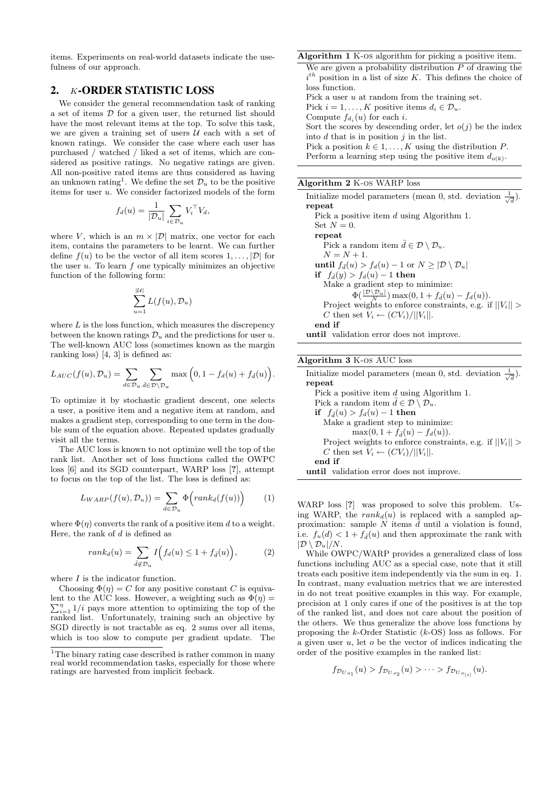items. Experiments on real-world datasets indicate the usefulness of our approach.

# 2. K-ORDER STATISTIC LOSS

We consider the general recommendation task of ranking a set of items D for a given user, the returned list should have the most relevant items at the top. To solve this task, we are given a training set of users  $U$  each with a set of known ratings. We consider the case where each user has purchased / watched / liked a set of items, which are considered as positive ratings. No negative ratings are given. All non-positive rated items are thus considered as having an unknown rating<sup>1</sup>. We define the set  $\mathcal{D}_u$  to be the positive items for user u. We consider factorized models of the form

$$
f_d(u) = \frac{1}{|\mathcal{D}_u|} \sum_{i \in \mathcal{D}_u} V_i^{\top} V_d,
$$

where V, which is an  $m \times |\mathcal{D}|$  matrix, one vector for each item, contains the parameters to be learnt. We can further define  $f(u)$  to be the vector of all item scores  $1, \ldots, |\mathcal{D}|$  for the user  $u$ . To learn  $f$  one typically minimizes an objective function of the following form:

$$
\sum_{u=1}^{|{\mathcal U}|} L(f(u),{\mathcal D}_u)
$$

where  $L$  is the loss function, which measures the discrepency between the known ratings  $\mathcal{D}_u$  and the predictions for user u. The well-known AUC loss (sometimes known as the margin ranking loss) [4, 3] is defined as:

$$
L_{AUC}(f(u), \mathcal{D}_u) = \sum_{d \in \mathcal{D}_u} \sum_{\bar{d} \in \mathcal{D} \setminus \mathcal{D}_u} \max\Big(0, 1 - f_d(u) + f_{\bar{d}}(u)\Big).
$$

To optimize it by stochastic gradient descent, one selects a user, a positive item and a negative item at random, and makes a gradient step, corresponding to one term in the double sum of the equation above. Repeated updates gradually visit all the terms.

The AUC loss is known to not optimize well the top of the rank list. Another set of loss functions called the OWPC loss [6] and its SGD counterpart, WARP loss [?], attempt to focus on the top of the list. The loss is defined as:

$$
L_{WARP}(f(u), \mathcal{D}_u)) = \sum_{d \in \mathcal{D}_u} \Phi\Big( rank_d(f(u)) \Big) \tag{1}
$$

where  $\Phi(\eta)$  converts the rank of a positive item d to a weight. Here, the rank of  $d$  is defined as

$$
rank_d(u) = \sum_{\bar{d} \notin \mathcal{D}_u} I\Big(f_d(u) \le 1 + f_{\bar{d}}(u)\Big),\tag{2}
$$

where  $I$  is the indicator function.

Choosing  $\Phi(\eta) = C$  for any positive constant C is equiva- $\sum_{i=1}^{n} 1/i$  pays more attention to optimizing the top of the lent to the AUC loss. However, a weighting such as  $\Phi(\eta) =$ ranked list. Unfortunately, training such an objective by SGD directly is not tractable as eq. 2 sums over all items, which is too slow to compute per gradient update. The Algorithm 1 K-os algorithm for picking a positive item. We are given a probability distribution  $P$  of drawing the  $i<sup>th</sup>$  position in a list of size K. This defines the choice of loss function. Pick a user  $u$  at random from the training set. Pick  $i = 1, ..., K$  positive items  $d_i \in \mathcal{D}_u$ . Compute  $f_{d_i}(u)$  for each i. Sort the scores by descending order, let  $o(j)$  be the index into  $d$  that is in position  $j$  in the list. Pick a position  $k \in 1, ..., K$  using the distribution P.

Perform a learning step using the positive item  $d_{o(k)}$ .

## Algorithm 2 K-os WARP loss

Initialize model parameters (mean 0, std. deviation  $\frac{1}{\sqrt{d}}$ ). repeat Pick a positive item d using Algorithm 1. Set  $N = 0$ . repeat Pick a random item  $\bar{d} \in \mathcal{D} \setminus \mathcal{D}_u$ .  $N = N + 1.$ **until**  $f_{\bar{d}}(u) > f_d(u) - 1$  or  $N ≥ |\mathcal{D} \setminus \mathcal{D}_u|$ if  $f_{\bar{d}}(y) > f_d(u) - 1$  then Make a gradient step to minimize:  $\Phi(\frac{|\mathcal{D}\setminus\mathcal{D}_u|}{N})\max(0, 1 + f_{\bar{d}}(u) - f_d(u)).$ Project weights to enforce constraints, e.g. if  $||V_i||$ C then set  $V_i \leftarrow (CV_i)/||V_i||$ . end if until validation error does not improve.

#### Algorithm 3 K-os AUC loss

Initialize model parameters (mean 0, std. deviation  $\frac{1}{\sqrt{d}}$ ). repeat Pick a positive item d using Algorithm 1. Pick a random item  $\bar{d} \in \mathcal{D} \setminus \mathcal{D}_u$ . if  $f_{\bar{d}}(u) > f_d(u) - 1$  then Make a gradient step to minimize:  $\max(0, 1 + f_{\bar{d}}(u) - f_d(u)).$ Project weights to enforce constraints, e.g. if  $||V_i||$ C then set  $V_i \leftarrow (CV_i)/||V_i||$ . end if until validation error does not improve.

WARP loss [?] was proposed to solve this problem. Using WARP, the  $rank_d(u)$  is replaced with a sampled approximation: sample N items  $\bar{d}$  until a violation is found, i.e.  $f_u(d) < 1 + f_{\bar{d}}(u)$  and then approximate the rank with  $|\mathcal{D} \setminus \mathcal{D}_u|/N$ .

While OWPC/WARP provides a generalized class of loss functions including AUC as a special case, note that it still treats each positive item independently via the sum in eq. 1. In contrast, many evaluation metrics that we are interested in do not treat positive examples in this way. For example, precision at 1 only cares if one of the positives is at the top of the ranked list, and does not care about the position of the others. We thus generalize the above loss functions by proposing the k-Order Statistic (k-OS) loss as follows. For a given user  $u$ , let  $o$  be the vector of indices indicating the order of the positive examples in the ranked list:

$$
f_{\mathcal{D}_{U_{o_1}}}(u) > f_{\mathcal{D}_{U_{o_2}}}(u) > \cdots > f_{\mathcal{D}_{U_{o_{|s|}}}}(u).
$$

<sup>&</sup>lt;sup>1</sup>The binary rating case described is rather common in many real world recommendation tasks, especially for those where ratings are harvested from implicit feeback.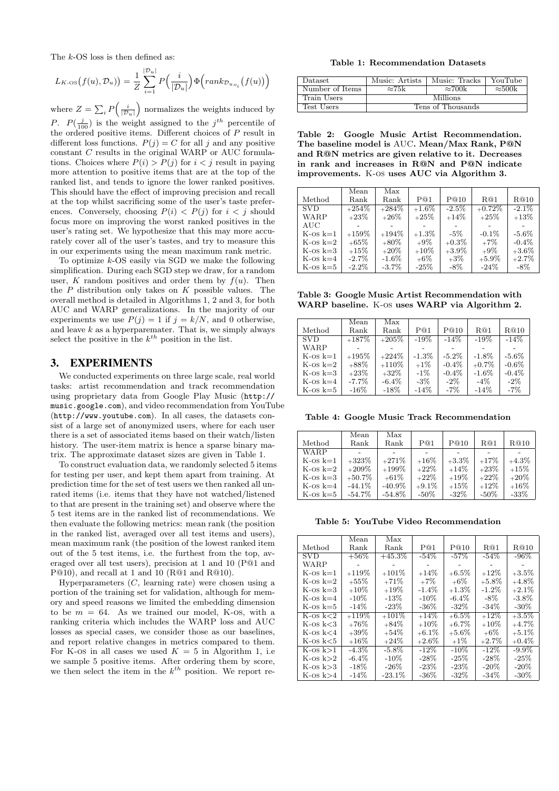The  $k$ -OS loss is then defined as:

$$
L_{K\text{-OS}}(f(u), \mathcal{D}_u) = \frac{1}{Z} \sum_{i=1}^{|\mathcal{D}_u|} P\left(\frac{i}{|\mathcal{D}_u|}\right) \Phi\left(\text{rank}_{\mathcal{D}_{u_{o_i}}}(f(u))\right)
$$

where  $Z = \sum_i P\left(\frac{i}{|\mathcal{D}_u|}\right)$  normalizes the weights induced by P.  $P(\frac{j}{100})$  is the weight assigned to the j<sup>th</sup> percentile of the ordered positive items. Different choices of P result in different loss functions.  $P(j) = C$  for all j and any positive constant C results in the original WARP or AUC formulations. Choices where  $P(i) > P(j)$  for  $i < j$  result in paying more attention to positive items that are at the top of the ranked list, and tends to ignore the lower ranked positives. This should have the effect of improving precision and recall at the top whilst sacrificing some of the user's taste preferences. Conversely, choosing  $P(i) < P(j)$  for  $i < j$  should focus more on improving the worst ranked positives in the user's rating set. We hypothesize that this may more accurately cover all of the user's tastes, and try to measure this in our experiments using the mean maximum rank metric.

To optimize  $k$ -OS easily via SGD we make the following simplification. During each SGD step we draw, for a random user, K random positives and order them by  $f(u)$ . Then the  $P$  distribution only takes on  $K$  possible values. The overall method is detailed in Algorithms 1, 2 and 3, for both AUC and WARP generalizations. In the majority of our experiments we use  $P(j) = 1$  if  $j = k/N$ , and 0 otherwise, and leave  $k$  as a hyperparemater. That is, we simply always select the positive in the  $k^{th}$  position in the list.

## 3. EXPERIMENTS

We conducted experiments on three large scale, real world tasks: artist recommendation and track recommendation using proprietary data from Google Play Music (http:// music.google.com), and video recommendation from YouTube (http://www.youtube.com). In all cases, the datasets consist of a large set of anonymized users, where for each user there is a set of associated items based on their watch/listen history. The user-item matrix is hence a sparse binary matrix. The approximate dataset sizes are given in Table 1.

To construct evaluation data, we randomly selected 5 items for testing per user, and kept them apart from training. At prediction time for the set of test users we then ranked all unrated items (i.e. items that they have not watched/listened to that are present in the training set) and observe where the 5 test items are in the ranked list of recommendations. We then evaluate the following metrics: mean rank (the position in the ranked list, averaged over all test items and users), mean maximum rank (the position of the lowest ranked item out of the 5 test items, i.e. the furthest from the top, averaged over all test users), precision at 1 and 10 (P@1 and P@10), and recall at 1 and 10 (R@1 and R@10).

Hyperparameters (C, learning rate) were chosen using a portion of the training set for validation, although for memory and speed reasons we limited the embedding dimension to be  $m = 64$ . As we trained our model, K-os, with a ranking criteria which includes the WARP loss and AUC losses as special cases, we consider those as our baselines, and report relative changes in metrics compared to them. For K-os in all cases we used  $K = 5$  in Algorithm 1, i.e. we sample 5 positive items. After ordering them by score, we then select the item in the  $k^{th}$  position. We report re-

#### Table 1: Recommendation Datasets

| <b>Dataset</b>  | Music: Artists        | Music: Tracks     | YouTube        |  |  |  |
|-----------------|-----------------------|-------------------|----------------|--|--|--|
| Number of Items | $\approx75\mathrm{k}$ | $\approx 700k$    | $\approx 500k$ |  |  |  |
| Train Users     | Millions              |                   |                |  |  |  |
| Test Users      |                       | Tens of Thousands |                |  |  |  |

Table 2: Google Music Artist Recommendation. The baseline model is AUC. Mean/Max Rank, P@N and R@N metrics are given relative to it. Decreases in rank and increases in R@N and P@N indicate improvements. K-os uses AUC via Algorithm 3.

|               | Mean     | Max      |          |          |           |          |
|---------------|----------|----------|----------|----------|-----------|----------|
| Method        | Rank     | Rank     | P@1      | P@10     | R@1       | R@10     |
| SVD           | $+254\%$ | $+284\%$ | $+1.6\%$ | $-2.5\%$ | $+0.72\%$ | $-2.1\%$ |
| <b>WARP</b>   | $+23\%$  | $+26\%$  | $+25\%$  | $+14\%$  | $+25%$    | $+13%$   |
| <b>AUC</b>    |          |          |          |          |           |          |
| $K$ -os $k=1$ | $+159%$  | $+194%$  | $+1.3\%$ | $-5\%$   | $-0.1\%$  | $-5.6\%$ |
| $K$ -os $k=2$ | $+65\%$  | $+80\%$  | $+9\%$   | $+0.3\%$ | $+7\%$    | $-0.4\%$ |
| $K$ -os $k=3$ | $+15\%$  | $+20\%$  | $+10\%$  | $+3.9\%$ | $+9\%$    | $+3.6\%$ |
| $K$ -os $k=4$ | $-2.7\%$ | $-1.6\%$ | $+6\%$   | $+3\%$   | $+5.9\%$  | $+2.7\%$ |
| $K$ -os $k=5$ | $-2.2\%$ | $-3.7\%$ | $-25\%$  | $-8\%$   | $-24\%$   | $-8\%$   |

Table 3: Google Music Artist Recommendation with WARP baseline. K-os uses WARP via Algorithm 2.

|               | Mean     | Max      |         |          |          |          |
|---------------|----------|----------|---------|----------|----------|----------|
| Method        | Rank     | Rank     | P@1     | P@10     | R@1      | R@10     |
| <b>SVD</b>    | $+187%$  | $+205%$  | $-19\%$ | $-14%$   | $-19%$   | $-14%$   |
| <b>WARP</b>   |          |          |         |          |          |          |
| $K$ -os $k=1$ | $+195%$  | $+224\%$ | $-1.3%$ | $-5.2\%$ | $-1.8\%$ | $-5.6%$  |
| $K$ -os $k=2$ | $+88\%$  | $+110%$  | $+1\%$  | $-0.4\%$ | $+0.7\%$ | $-0.6\%$ |
| $K$ -os $k=3$ | $+23\%$  | $+32\%$  | $-1\%$  | $-0.4\%$ | $-1.6\%$ | $-0.4\%$ |
| $K$ -os $k=4$ | $-7.7\%$ | $-6.4\%$ | $-3\%$  | $-2\%$   | $-4\%$   | $-2\%$   |
| $K$ -os $k=5$ | $-16\%$  | $-18\%$  | $-14%$  | $-7%$    | $-14%$   | $-7\%$   |

Table 4: Google Music Track Recommendation

|               | Mean      | Max       |          |          |         |          |
|---------------|-----------|-----------|----------|----------|---------|----------|
| Method        | Rank      | Rank      | P@1      | P@10     | R@1     | R@10     |
| WARP          |           |           |          |          |         |          |
| $K$ -os $k=1$ | $+323%$   | $+271%$   | $+16\%$  | $+3.3\%$ | $+17%$  | $+4.3\%$ |
| $K$ -os $k=2$ | $+209\%$  | $+199\%$  | $+22\%$  | $+14\%$  | $+23%$  | $+15%$   |
| $K$ -os $k=3$ | $+50.7\%$ | $+61\%$   | $+22\%$  | $+19%$   | $+22\%$ | $+20\%$  |
| $K$ -os $k=4$ | $-44.1\%$ | $-40.9\%$ | $+9.1\%$ | $+15%$   | $+12\%$ | $+16\%$  |
| $K$ -os $k=5$ | $-54.7\%$ | $-54.8\%$ | $-50\%$  | $-32\%$  | $-50\%$ | $-33%$   |

Table 5: YouTube Video Recommendation

|                 | Mean     | Max      |          |          |          |          |
|-----------------|----------|----------|----------|----------|----------|----------|
| Method          | Rank     | Rank     | P@1      | P@10     | R@1      | R@10     |
| <b>SVD</b>      | $+56\%$  | $+45.3%$ | $-54\%$  | $-57\%$  | $-54\%$  | $-96\%$  |
| WA R.P          |          |          |          |          |          |          |
| $K$ -os $k=1$   | $+119%$  | $+101\%$ | $+14\%$  | $+6.5\%$ | $+12\%$  | $+3.5\%$ |
| $K$ -os $k=2$   | $+55\%$  | $+71%$   | $+7\%$   | $+6\%$   | $+5.8\%$ | $+4.8\%$ |
| $K$ -OS $k=3$   | $+10\%$  | $+19\%$  | $-1.4\%$ | $+1.3\%$ | $-1.2\%$ | $+2.1\%$ |
| $K$ -OS $k=4$   | $-10\%$  | $-13\%$  | $-10\%$  | $-6.4\%$ | $-8\%$   | $-3.8\%$ |
| $K$ -os k=5     | $-14\%$  | $-23\%$  | $-36\%$  | $-32\%$  | $-34\%$  | $-30\%$  |
| $K$ -OS $k<2$   | $+119%$  | $+101%$  | $+14\%$  | $+6.5\%$ | $+12\%$  | $+3.5\%$ |
| $K$ -os $k<3$   | $+76\%$  | $+84\%$  | $+10\%$  | $+6.7\%$ | $+10\%$  | $+4.7\%$ |
| $K$ -OS $k<4$   | $+39\%$  | $+54\%$  | $+6.1\%$ | $+5.6\%$ | $+6\%$   | $+5.1\%$ |
| $K$ -OS $k<5$   | $+16\%$  | $+24\%$  | $+2.6\%$ | $+1\%$   | $+2.7\%$ | $+0.4\%$ |
| $K-OS k>1$      | $-4.3\%$ | $-5.8\%$ | $-12\%$  | $-10\%$  | $-12%$   | $-9.9\%$ |
| $K$ -OS $k>2$   | $-6.4\%$ | $-10\%$  | $-28\%$  | $-25%$   | $-28\%$  | $-25%$   |
| $K$ -OS $k > 3$ | $-18\%$  | $-26\%$  | $-23\%$  | $-23\%$  | $-20\%$  | $-20\%$  |
| $K$ -OS $k>4$   | $-14\%$  | $-23.1%$ | $-36\%$  | $-32\%$  | $-34\%$  | $-30\%$  |